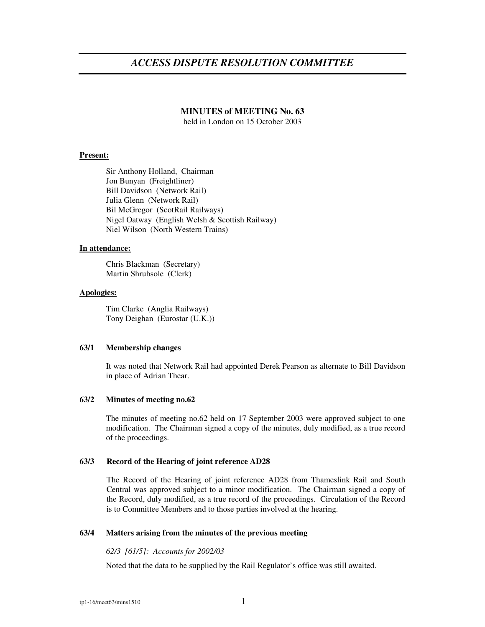# *ACCESS DISPUTE RESOLUTION COMMITTEE*

# **MINUTES of MEETING No. 63**

held in London on 15 October 2003

#### **Present:**

Sir Anthony Holland, Chairman Jon Bunyan (Freightliner) Bill Davidson (Network Rail) Julia Glenn (Network Rail) Bil McGregor (ScotRail Railways) Nigel Oatway (English Welsh & Scottish Railway) Niel Wilson (North Western Trains)

# **In attendance:**

Chris Blackman (Secretary) Martin Shrubsole (Clerk)

## **Apologies:**

Tim Clarke (Anglia Railways) Tony Deighan (Eurostar (U.K.))

# **63/1 Membership changes**

It was noted that Network Rail had appointed Derek Pearson as alternate to Bill Davidson in place of Adrian Thear.

#### **63/2 Minutes of meeting no.62**

The minutes of meeting no.62 held on 17 September 2003 were approved subject to one modification. The Chairman signed a copy of the minutes, duly modified, as a true record of the proceedings.

# **63/3 Record of the Hearing of joint reference AD28**

The Record of the Hearing of joint reference AD28 from Thameslink Rail and South Central was approved subject to a minor modification. The Chairman signed a copy of the Record, duly modified, as a true record of the proceedings. Circulation of the Record is to Committee Members and to those parties involved at the hearing.

## **63/4 Matters arising from the minutes of the previous meeting**

#### *62/3 [61/5]: Accounts for 2002/03*

Noted that the data to be supplied by the Rail Regulator's office was still awaited.